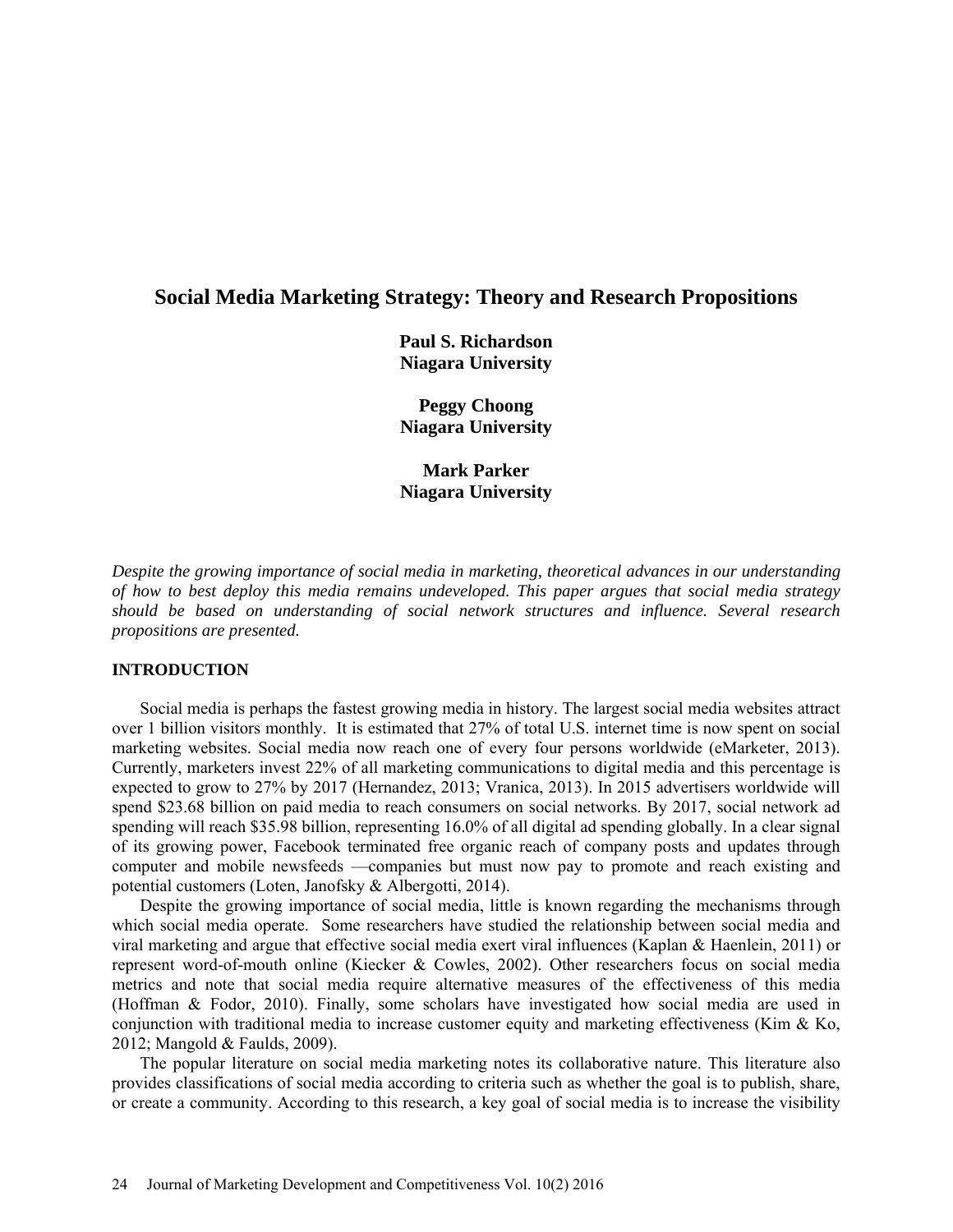# **Social Media Marketing Strategy: Theory and Research Propositions**

**Paul S. Richardson Niagara University** 

**Peggy Choong Niagara University** 

**Mark Parker Niagara University** 

*Despite the growing importance of social media in marketing, theoretical advances in our understanding of how to best deploy this media remains undeveloped. This paper argues that social media strategy should be based on understanding of social network structures and influence. Several research propositions are presented.*

### **INTRODUCTION**

Social media is perhaps the fastest growing media in history. The largest social media websites attract over 1 billion visitors monthly. It is estimated that 27% of total U.S. internet time is now spent on social marketing websites. Social media now reach one of every four persons worldwide (eMarketer, 2013). Currently, marketers invest 22% of all marketing communications to digital media and this percentage is expected to grow to 27% by 2017 (Hernandez, 2013; Vranica, 2013). In 2015 advertisers worldwide will spend \$23.68 billion on paid media to reach consumers on social networks. By 2017, social network ad spending will reach \$35.98 billion, representing 16.0% of all digital ad spending globally. In a clear signal of its growing power, Facebook terminated free organic reach of company posts and updates through computer and mobile newsfeeds —companies but must now pay to promote and reach existing and potential customers (Loten, Janofsky & Albergotti, 2014).

Despite the growing importance of social media, little is known regarding the mechanisms through which social media operate. Some researchers have studied the relationship between social media and viral marketing and argue that effective social media exert viral influences (Kaplan & Haenlein, 2011) or represent word-of-mouth online (Kiecker & Cowles, 2002). Other researchers focus on social media metrics and note that social media require alternative measures of the effectiveness of this media (Hoffman & Fodor, 2010). Finally, some scholars have investigated how social media are used in conjunction with traditional media to increase customer equity and marketing effectiveness (Kim & Ko, 2012; Mangold & Faulds, 2009).

The popular literature on social media marketing notes its collaborative nature. This literature also provides classifications of social media according to criteria such as whether the goal is to publish, share, or create a community. According to this research, a key goal of social media is to increase the visibility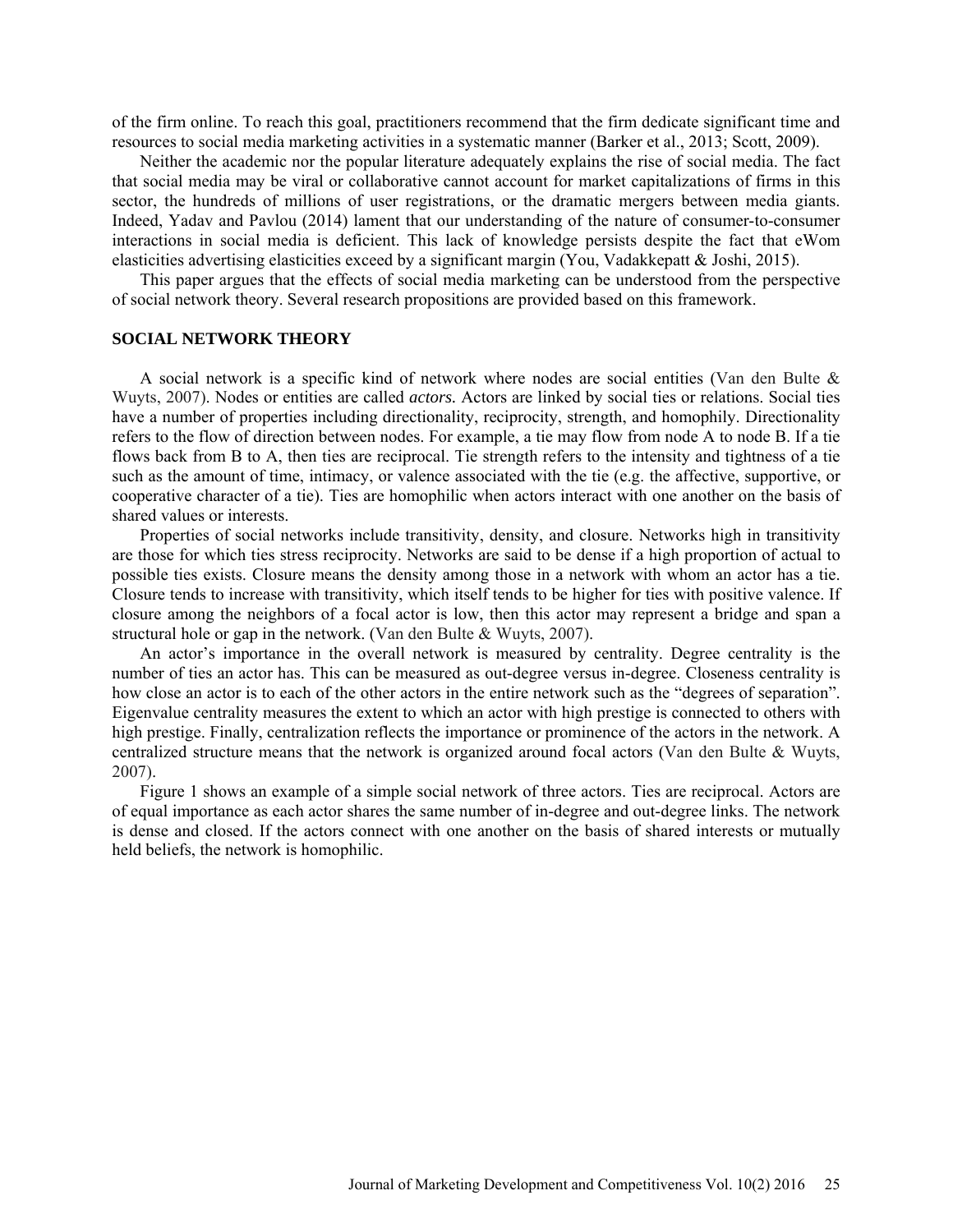of the firm online. To reach this goal, practitioners recommend that the firm dedicate significant time and resources to social media marketing activities in a systematic manner (Barker et al., 2013; Scott, 2009).

Neither the academic nor the popular literature adequately explains the rise of social media. The fact that social media may be viral or collaborative cannot account for market capitalizations of firms in this sector, the hundreds of millions of user registrations, or the dramatic mergers between media giants. Indeed, Yadav and Pavlou (2014) lament that our understanding of the nature of consumer-to-consumer interactions in social media is deficient. This lack of knowledge persists despite the fact that eWom elasticities advertising elasticities exceed by a significant margin (You, Vadakkepatt & Joshi, 2015).

This paper argues that the effects of social media marketing can be understood from the perspective of social network theory. Several research propositions are provided based on this framework.

#### **SOCIAL NETWORK THEORY**

A social network is a specific kind of network where nodes are social entities (Van den Bulte & Wuyts, 2007). Nodes or entities are called *actors.* Actors are linked by social ties or relations. Social ties have a number of properties including directionality, reciprocity, strength, and homophily. Directionality refers to the flow of direction between nodes. For example, a tie may flow from node A to node B. If a tie flows back from B to A, then ties are reciprocal. Tie strength refers to the intensity and tightness of a tie such as the amount of time, intimacy, or valence associated with the tie (e.g. the affective, supportive, or cooperative character of a tie). Ties are homophilic when actors interact with one another on the basis of shared values or interests.

Properties of social networks include transitivity, density, and closure. Networks high in transitivity are those for which ties stress reciprocity. Networks are said to be dense if a high proportion of actual to possible ties exists. Closure means the density among those in a network with whom an actor has a tie. Closure tends to increase with transitivity, which itself tends to be higher for ties with positive valence. If closure among the neighbors of a focal actor is low, then this actor may represent a bridge and span a structural hole or gap in the network. (Van den Bulte & Wuyts, 2007).

An actor's importance in the overall network is measured by centrality. Degree centrality is the number of ties an actor has. This can be measured as out-degree versus in-degree. Closeness centrality is how close an actor is to each of the other actors in the entire network such as the "degrees of separation". Eigenvalue centrality measures the extent to which an actor with high prestige is connected to others with high prestige. Finally, centralization reflects the importance or prominence of the actors in the network. A centralized structure means that the network is organized around focal actors (Van den Bulte & Wuyts, 2007).

Figure 1 shows an example of a simple social network of three actors. Ties are reciprocal. Actors are of equal importance as each actor shares the same number of in-degree and out-degree links. The network is dense and closed. If the actors connect with one another on the basis of shared interests or mutually held beliefs, the network is homophilic.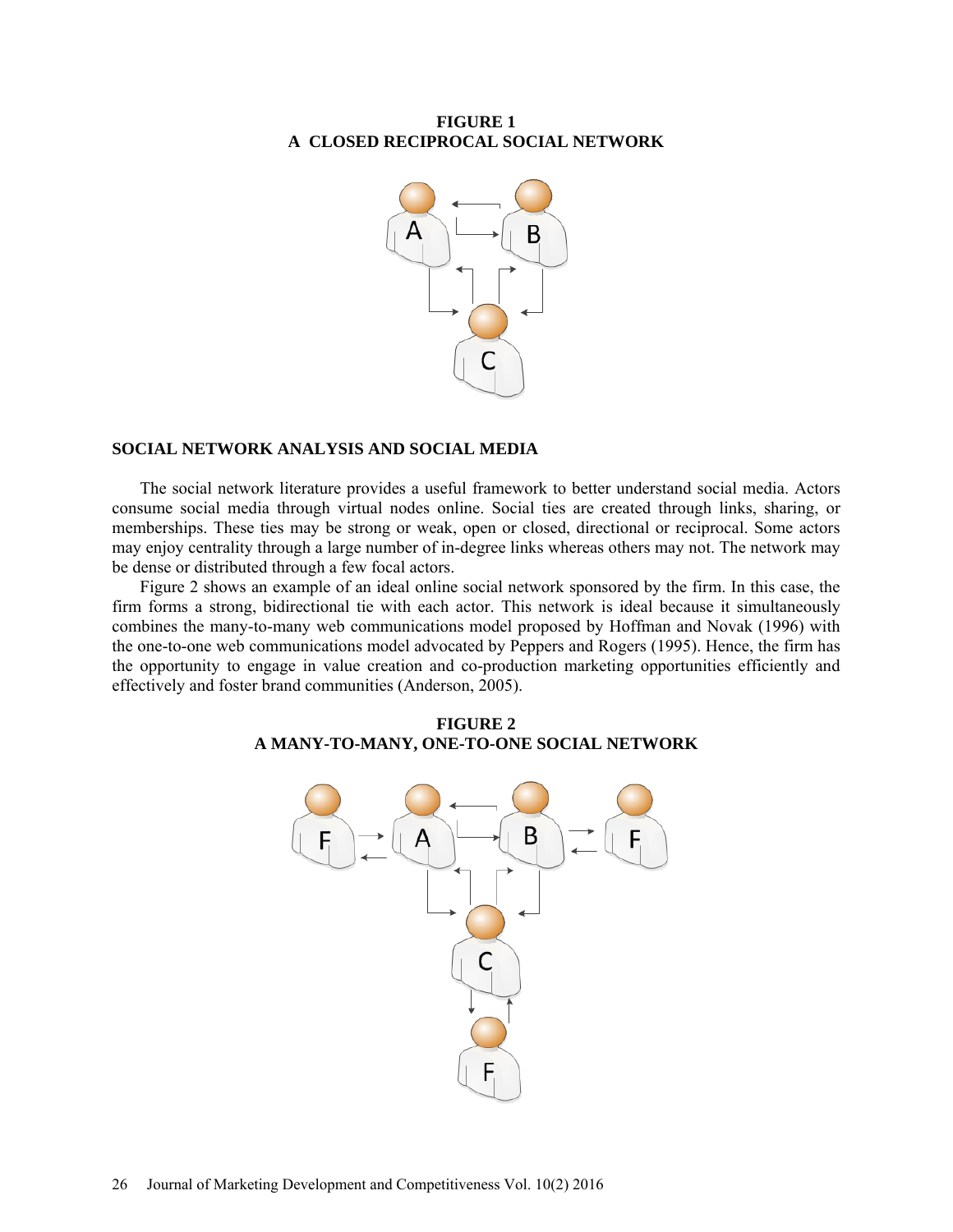# **FIGURE 1 A CLOSED RECIPROCAL SOCIAL NETWORK**



### **SOCIAL NETWORK ANALYSIS AND SOCIAL MEDIA**

The social network literature provides a useful framework to better understand social media. Actors consume social media through virtual nodes online. Social ties are created through links, sharing, or memberships. These ties may be strong or weak, open or closed, directional or reciprocal. Some actors may enjoy centrality through a large number of in-degree links whereas others may not. The network may be dense or distributed through a few focal actors.

Figure 2 shows an example of an ideal online social network sponsored by the firm. In this case, the firm forms a strong, bidirectional tie with each actor. This network is ideal because it simultaneously combines the many-to-many web communications model proposed by Hoffman and Novak (1996) with the one-to-one web communications model advocated by Peppers and Rogers (1995). Hence, the firm has the opportunity to engage in value creation and co-production marketing opportunities efficiently and effectively and foster brand communities (Anderson, 2005).



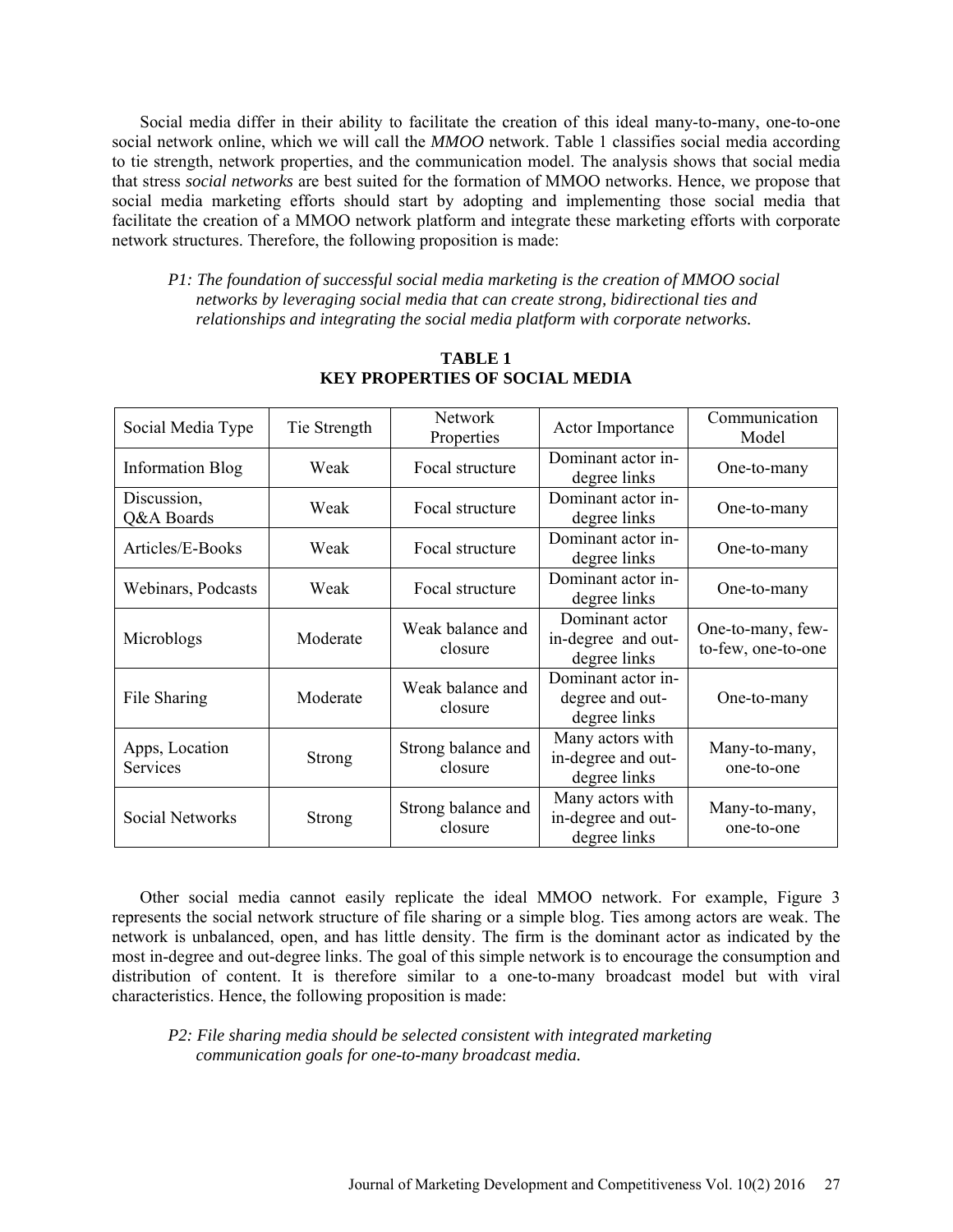Social media differ in their ability to facilitate the creation of this ideal many-to-many, one-to-one social network online, which we will call the *MMOO* network. Table 1 classifies social media according to tie strength, network properties, and the communication model. The analysis shows that social media that stress *social networks* are best suited for the formation of MMOO networks. Hence, we propose that social media marketing efforts should start by adopting and implementing those social media that facilitate the creation of a MMOO network platform and integrate these marketing efforts with corporate network structures. Therefore, the following proposition is made:

*P1: The foundation of successful social media marketing is the creation of MMOO social networks by leveraging social media that can create strong, bidirectional ties and relationships and integrating the social media platform with corporate networks.*

| Social Media Type          | Tie Strength  | <b>Network</b><br>Properties  | Actor Importance                                       | Communication<br>Model                  |
|----------------------------|---------------|-------------------------------|--------------------------------------------------------|-----------------------------------------|
| <b>Information Blog</b>    | Weak          | Focal structure               | Dominant actor in-<br>degree links                     | One-to-many                             |
| Discussion,<br>Q&A Boards  | Weak          | Focal structure               | Dominant actor in-<br>degree links                     | One-to-many                             |
| Articles/E-Books           | Weak          | Focal structure               | Dominant actor in-<br>degree links                     | One-to-many                             |
| Webinars, Podcasts         | Weak          | Focal structure               | Dominant actor in-<br>degree links                     | One-to-many                             |
| Microblogs                 | Moderate      | Weak balance and<br>closure   | Dominant actor<br>in-degree and out-<br>degree links   | One-to-many, few-<br>to-few, one-to-one |
| File Sharing               | Moderate      | Weak balance and<br>closure   | Dominant actor in-<br>degree and out-<br>degree links  | One-to-many                             |
| Apps, Location<br>Services | <b>Strong</b> | Strong balance and<br>closure | Many actors with<br>in-degree and out-<br>degree links | Many-to-many,<br>one-to-one             |
| <b>Social Networks</b>     | Strong        | Strong balance and<br>closure | Many actors with<br>in-degree and out-<br>degree links | Many-to-many,<br>one-to-one             |

**TABLE 1 KEY PROPERTIES OF SOCIAL MEDIA**

Other social media cannot easily replicate the ideal MMOO network. For example, Figure 3 represents the social network structure of file sharing or a simple blog. Ties among actors are weak. The network is unbalanced, open, and has little density. The firm is the dominant actor as indicated by the most in-degree and out-degree links. The goal of this simple network is to encourage the consumption and distribution of content. It is therefore similar to a one-to-many broadcast model but with viral characteristics. Hence, the following proposition is made:

*P2: File sharing media should be selected consistent with integrated marketing communication goals for one-to-many broadcast media.*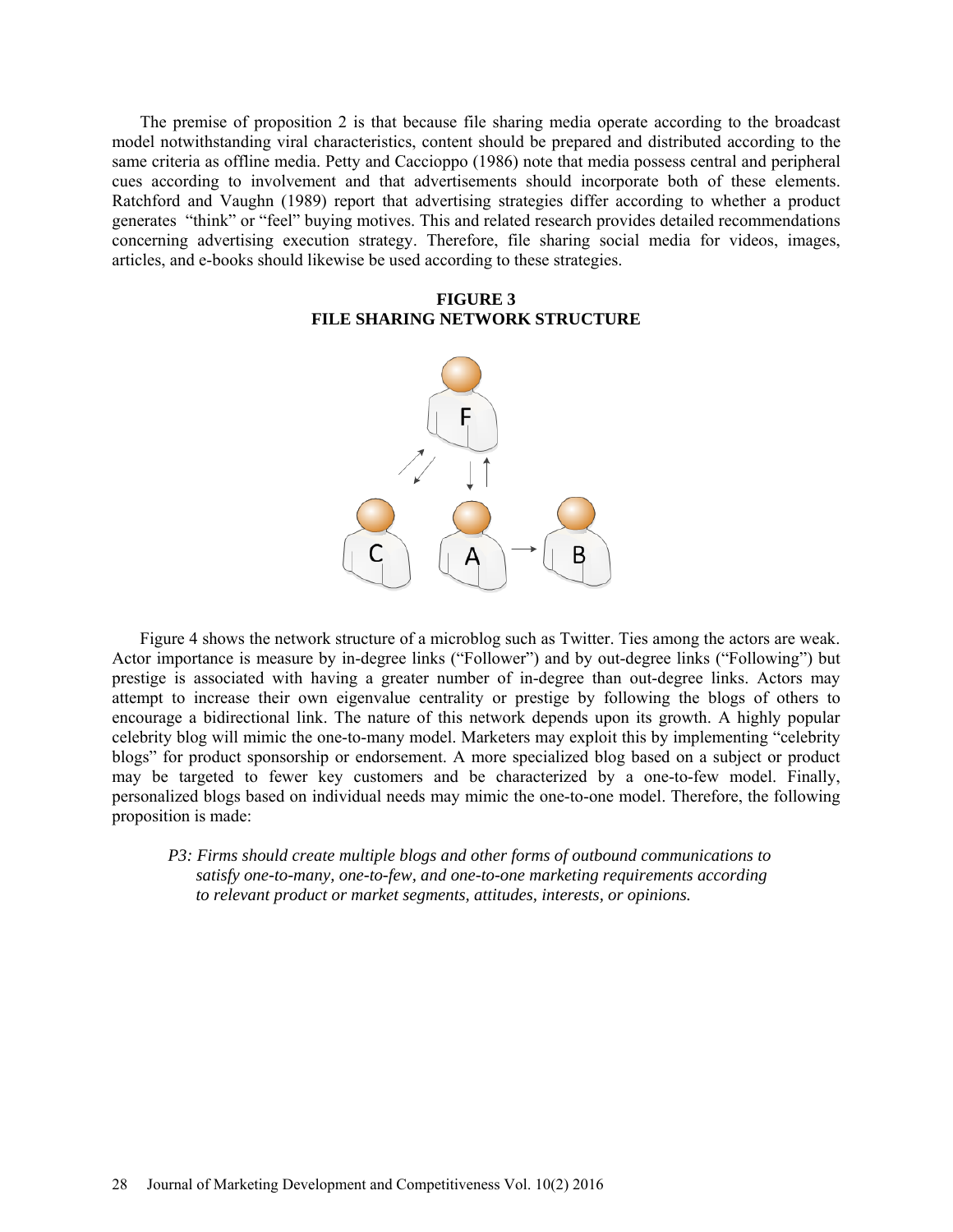The premise of proposition 2 is that because file sharing media operate according to the broadcast model notwithstanding viral characteristics, content should be prepared and distributed according to the same criteria as offline media. Petty and Caccioppo (1986) note that media possess central and peripheral cues according to involvement and that advertisements should incorporate both of these elements. Ratchford and Vaughn (1989) report that advertising strategies differ according to whether a product generates "think" or "feel" buying motives. This and related research provides detailed recommendations concerning advertising execution strategy. Therefore, file sharing social media for videos, images, articles, and e-books should likewise be used according to these strategies.

# **FIGURE 3 FILE SHARING NETWORK STRUCTURE**



Figure 4 shows the network structure of a microblog such as Twitter. Ties among the actors are weak. Actor importance is measure by in-degree links ("Follower") and by out-degree links ("Following") but prestige is associated with having a greater number of in-degree than out-degree links. Actors may attempt to increase their own eigenvalue centrality or prestige by following the blogs of others to encourage a bidirectional link. The nature of this network depends upon its growth. A highly popular celebrity blog will mimic the one-to-many model. Marketers may exploit this by implementing "celebrity blogs" for product sponsorship or endorsement. A more specialized blog based on a subject or product may be targeted to fewer key customers and be characterized by a one-to-few model. Finally, personalized blogs based on individual needs may mimic the one-to-one model. Therefore, the following proposition is made:

*P3: Firms should create multiple blogs and other forms of outbound communications to satisfy one-to-many, one-to-few, and one-to-one marketing requirements according to relevant product or market segments, attitudes, interests, or opinions.*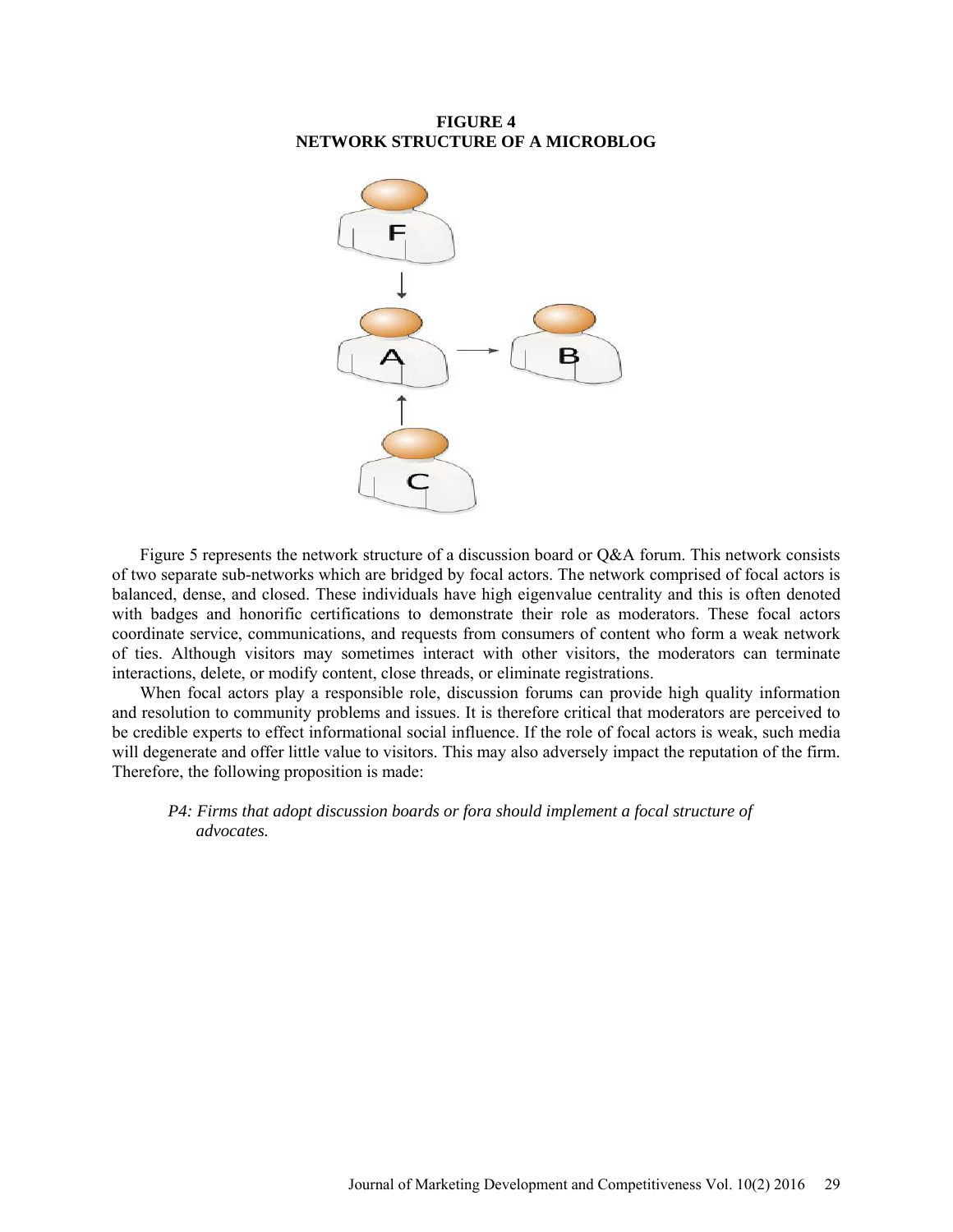# **FIGURE 4 NETWORK STRUCTURE OF A MICROBLOG**



Figure 5 represents the network structure of a discussion board or Q&A forum. This network consists of two separate sub-networks which are bridged by focal actors. The network comprised of focal actors is balanced, dense, and closed. These individuals have high eigenvalue centrality and this is often denoted with badges and honorific certifications to demonstrate their role as moderators. These focal actors coordinate service, communications, and requests from consumers of content who form a weak network of ties. Although visitors may sometimes interact with other visitors, the moderators can terminate interactions, delete, or modify content, close threads, or eliminate registrations.

When focal actors play a responsible role, discussion forums can provide high quality information and resolution to community problems and issues. It is therefore critical that moderators are perceived to be credible experts to effect informational social influence. If the role of focal actors is weak, such media will degenerate and offer little value to visitors. This may also adversely impact the reputation of the firm. Therefore, the following proposition is made:

*P4: Firms that adopt discussion boards or fora should implement a focal structure of advocates.*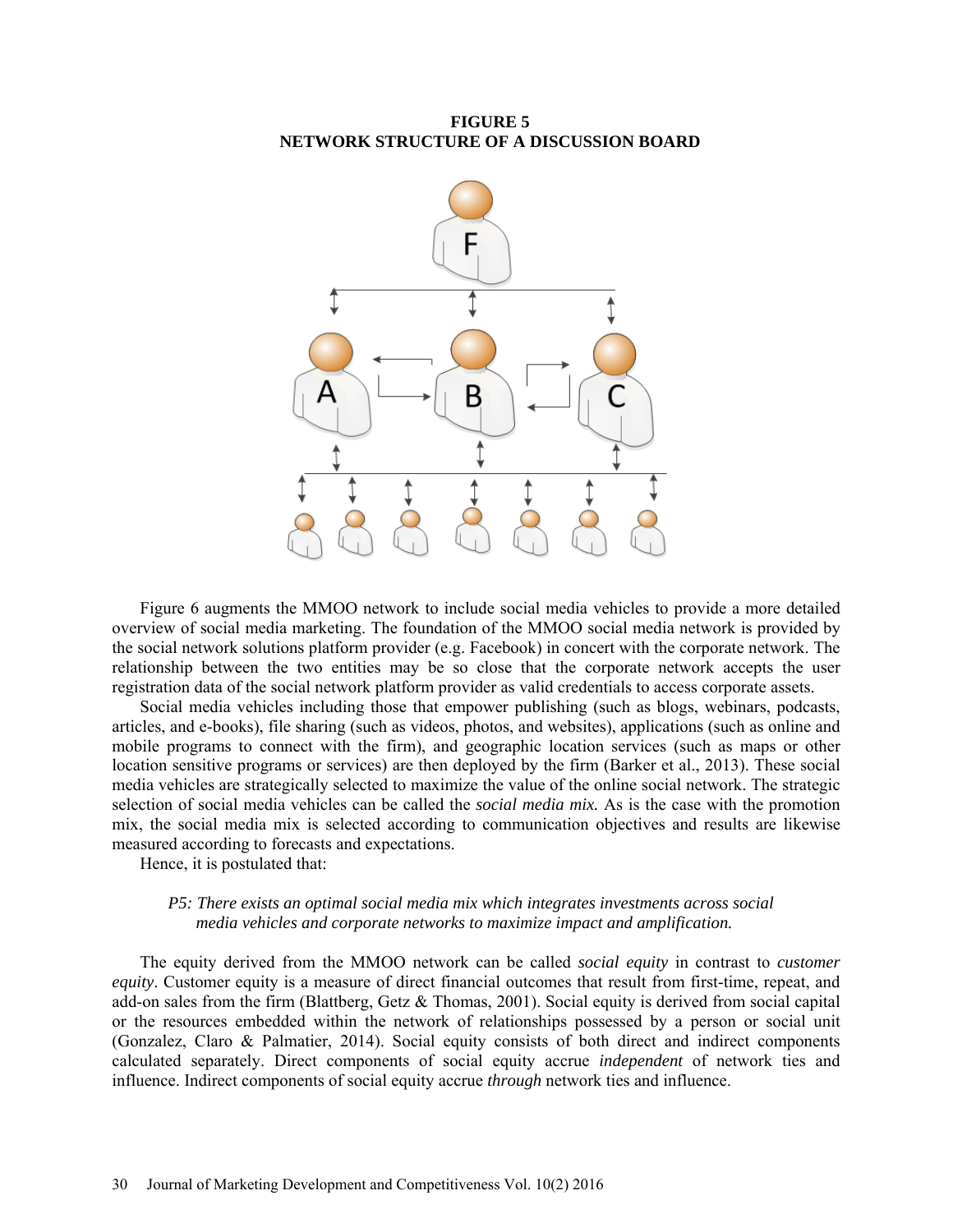# **FIGURE 5 NETWORK STRUCTURE OF A DISCUSSION BOARD**



Figure 6 augments the MMOO network to include social media vehicles to provide a more detailed overview of social media marketing. The foundation of the MMOO social media network is provided by the social network solutions platform provider (e.g. Facebook) in concert with the corporate network. The relationship between the two entities may be so close that the corporate network accepts the user registration data of the social network platform provider as valid credentials to access corporate assets.

Social media vehicles including those that empower publishing (such as blogs, webinars, podcasts, articles, and e-books), file sharing (such as videos, photos, and websites), applications (such as online and mobile programs to connect with the firm), and geographic location services (such as maps or other location sensitive programs or services) are then deployed by the firm (Barker et al., 2013). These social media vehicles are strategically selected to maximize the value of the online social network. The strategic selection of social media vehicles can be called the *social media mix.* As is the case with the promotion mix, the social media mix is selected according to communication objectives and results are likewise measured according to forecasts and expectations.

Hence, it is postulated that:

#### *P5: There exists an optimal social media mix which integrates investments across social media vehicles and corporate networks to maximize impact and amplification.*

The equity derived from the MMOO network can be called *social equity* in contrast to *customer equity*. Customer equity is a measure of direct financial outcomes that result from first-time, repeat, and add-on sales from the firm (Blattberg, Getz & Thomas, 2001). Social equity is derived from social capital or the resources embedded within the network of relationships possessed by a person or social unit (Gonzalez, Claro & Palmatier, 2014). Social equity consists of both direct and indirect components calculated separately. Direct components of social equity accrue *independent* of network ties and influence. Indirect components of social equity accrue *through* network ties and influence.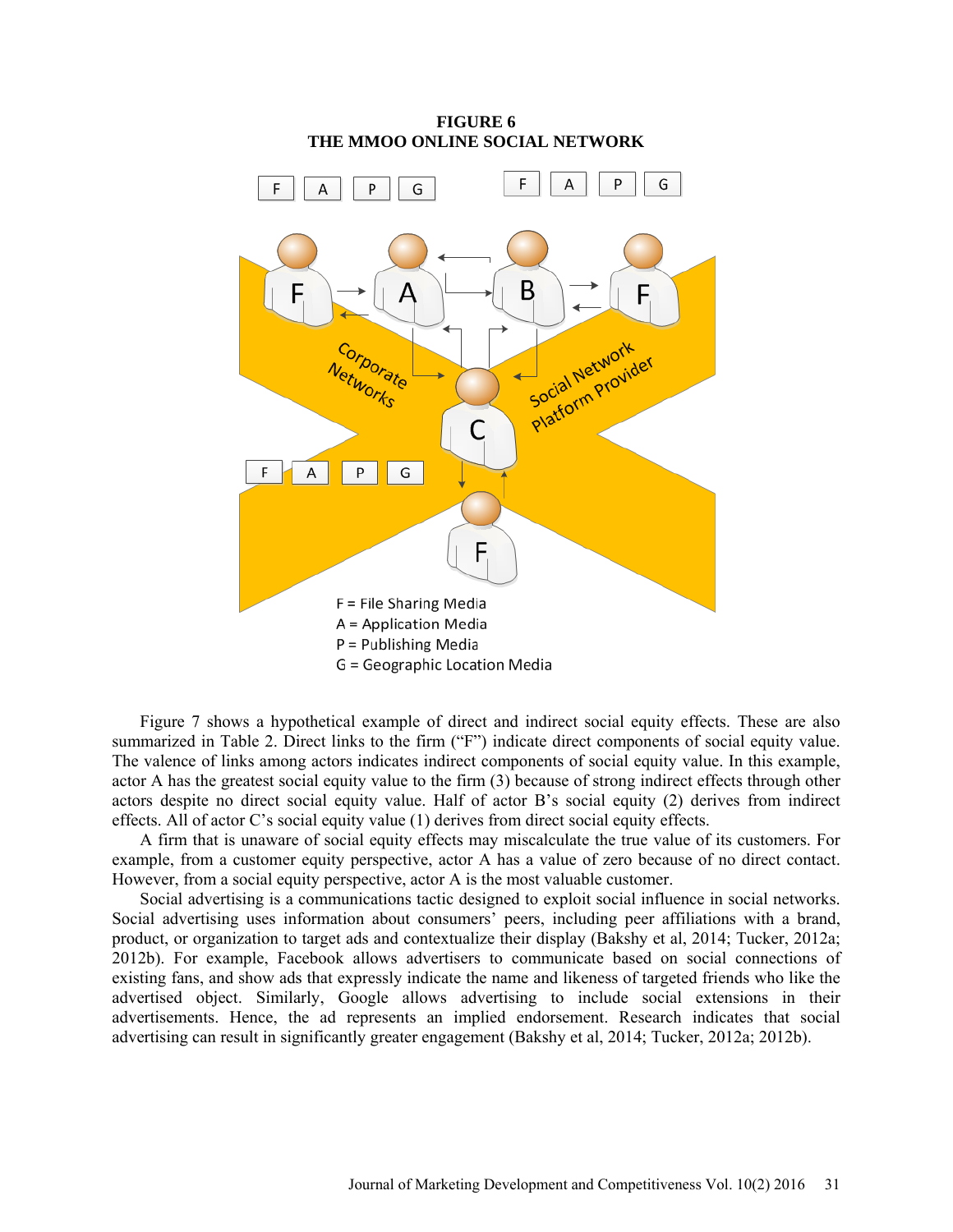

Figure 7 shows a hypothetical example of direct and indirect social equity effects. These are also summarized in Table 2. Direct links to the firm ("F") indicate direct components of social equity value. The valence of links among actors indicates indirect components of social equity value. In this example, actor A has the greatest social equity value to the firm (3) because of strong indirect effects through other actors despite no direct social equity value. Half of actor B's social equity (2) derives from indirect effects. All of actor C's social equity value (1) derives from direct social equity effects.

A firm that is unaware of social equity effects may miscalculate the true value of its customers. For example, from a customer equity perspective, actor A has a value of zero because of no direct contact. However, from a social equity perspective, actor A is the most valuable customer.

Social advertising is a communications tactic designed to exploit social influence in social networks. Social advertising uses information about consumers' peers, including peer affiliations with a brand, product, or organization to target ads and contextualize their display (Bakshy et al, 2014; Tucker, 2012a; 2012b). For example, Facebook allows advertisers to communicate based on social connections of existing fans, and show ads that expressly indicate the name and likeness of targeted friends who like the advertised object. Similarly, Google allows advertising to include social extensions in their advertisements. Hence, the ad represents an implied endorsement. Research indicates that social advertising can result in significantly greater engagement (Bakshy et al, 2014; Tucker, 2012a; 2012b).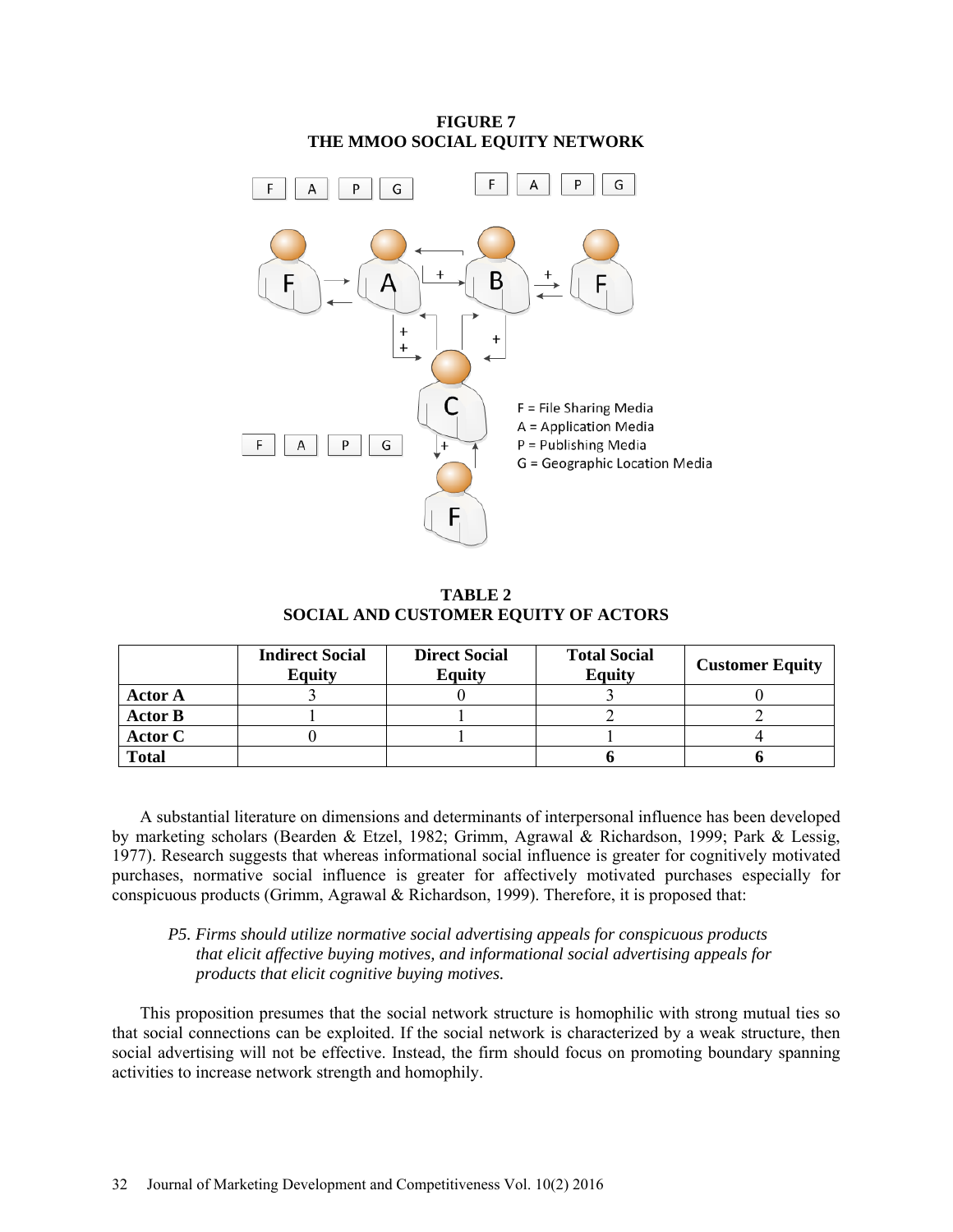

**TABLE 2 SOCIAL AND CUSTOMER EQUITY OF ACTORS**

|                | <b>Indirect Social</b><br><b>Equity</b> | <b>Direct Social</b><br><b>Equity</b> | <b>Total Social</b><br><b>Equity</b> | <b>Customer Equity</b> |
|----------------|-----------------------------------------|---------------------------------------|--------------------------------------|------------------------|
| <b>Actor A</b> |                                         |                                       |                                      |                        |
| <b>Actor B</b> |                                         |                                       |                                      |                        |
| <b>Actor C</b> |                                         |                                       |                                      |                        |
| <b>Total</b>   |                                         |                                       |                                      |                        |

A substantial literature on dimensions and determinants of interpersonal influence has been developed by marketing scholars (Bearden & Etzel, 1982; Grimm, Agrawal & Richardson, 1999; Park & Lessig, 1977). Research suggests that whereas informational social influence is greater for cognitively motivated purchases, normative social influence is greater for affectively motivated purchases especially for conspicuous products (Grimm, Agrawal & Richardson, 1999). Therefore, it is proposed that:

# *P5. Firms should utilize normative social advertising appeals for conspicuous products that elicit affective buying motives, and informational social advertising appeals for products that elicit cognitive buying motives.*

This proposition presumes that the social network structure is homophilic with strong mutual ties so that social connections can be exploited. If the social network is characterized by a weak structure, then social advertising will not be effective. Instead, the firm should focus on promoting boundary spanning activities to increase network strength and homophily.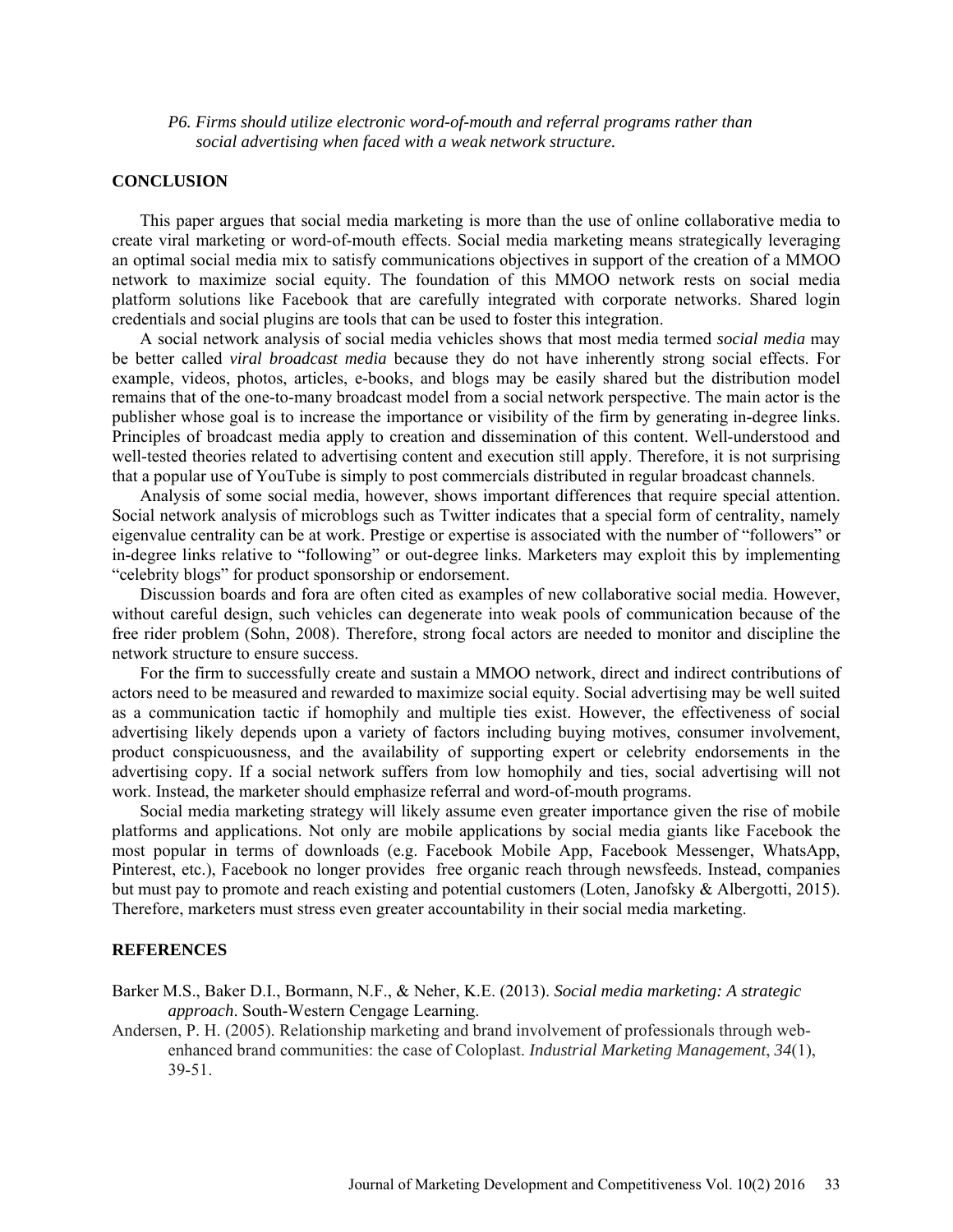#### *P6. Firms should utilize electronic word-of-mouth and referral programs rather than social advertising when faced with a weak network structure.*

### **CONCLUSION**

This paper argues that social media marketing is more than the use of online collaborative media to create viral marketing or word-of-mouth effects. Social media marketing means strategically leveraging an optimal social media mix to satisfy communications objectives in support of the creation of a MMOO network to maximize social equity. The foundation of this MMOO network rests on social media platform solutions like Facebook that are carefully integrated with corporate networks. Shared login credentials and social plugins are tools that can be used to foster this integration.

A social network analysis of social media vehicles shows that most media termed *social media* may be better called *viral broadcast media* because they do not have inherently strong social effects. For example, videos, photos, articles, e-books, and blogs may be easily shared but the distribution model remains that of the one-to-many broadcast model from a social network perspective. The main actor is the publisher whose goal is to increase the importance or visibility of the firm by generating in-degree links. Principles of broadcast media apply to creation and dissemination of this content. Well-understood and well-tested theories related to advertising content and execution still apply. Therefore, it is not surprising that a popular use of YouTube is simply to post commercials distributed in regular broadcast channels.

Analysis of some social media, however, shows important differences that require special attention. Social network analysis of microblogs such as Twitter indicates that a special form of centrality, namely eigenvalue centrality can be at work. Prestige or expertise is associated with the number of "followers" or in-degree links relative to "following" or out-degree links. Marketers may exploit this by implementing "celebrity blogs" for product sponsorship or endorsement.

Discussion boards and fora are often cited as examples of new collaborative social media. However, without careful design, such vehicles can degenerate into weak pools of communication because of the free rider problem (Sohn, 2008). Therefore, strong focal actors are needed to monitor and discipline the network structure to ensure success.

For the firm to successfully create and sustain a MMOO network, direct and indirect contributions of actors need to be measured and rewarded to maximize social equity. Social advertising may be well suited as a communication tactic if homophily and multiple ties exist. However, the effectiveness of social advertising likely depends upon a variety of factors including buying motives, consumer involvement, product conspicuousness, and the availability of supporting expert or celebrity endorsements in the advertising copy. If a social network suffers from low homophily and ties, social advertising will not work. Instead, the marketer should emphasize referral and word-of-mouth programs.

Social media marketing strategy will likely assume even greater importance given the rise of mobile platforms and applications. Not only are mobile applications by social media giants like Facebook the most popular in terms of downloads (e.g. Facebook Mobile App, Facebook Messenger, WhatsApp, Pinterest, etc.), Facebook no longer provides free organic reach through newsfeeds. Instead, companies but must pay to promote and reach existing and potential customers (Loten, Janofsky & Albergotti, 2015). Therefore, marketers must stress even greater accountability in their social media marketing.

# **REFERENCES**

Barker M.S., Baker D.I., Bormann, N.F., & Neher, K.E. (2013). *Social media marketing: A strategic approach*. South-Western Cengage Learning.

Andersen, P. H. (2005). Relationship marketing and brand involvement of professionals through webenhanced brand communities: the case of Coloplast. *Industrial Marketing Management*, *34*(1), 39-51.